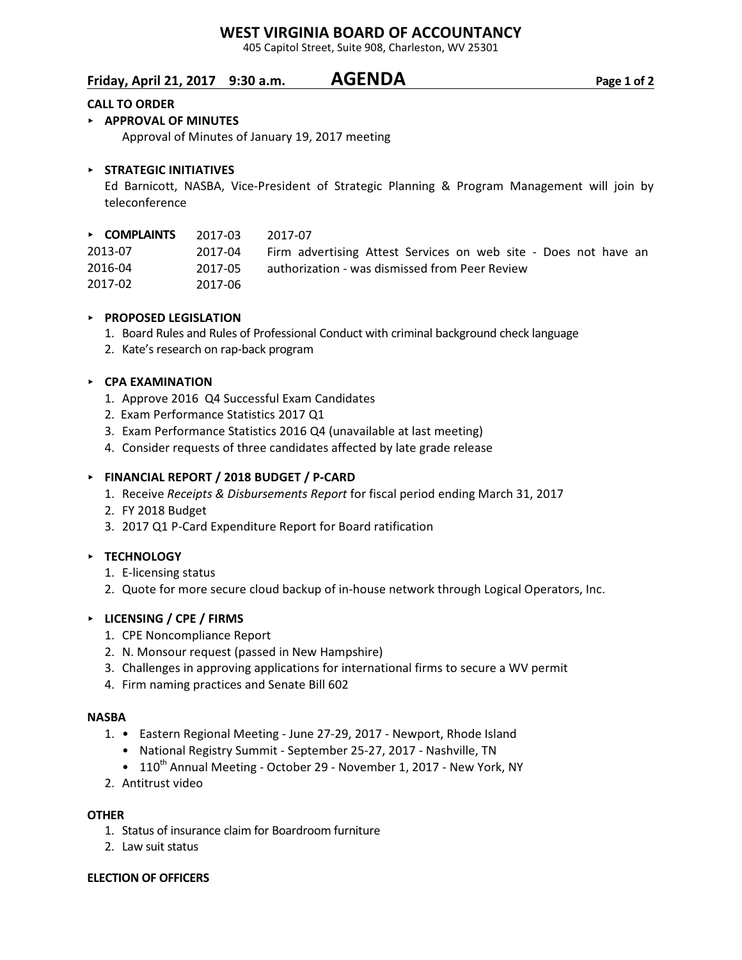# **WEST VIRGINIA BOARD OF ACCOUNTANCY**

405 Capitol Street, Suite 908, Charleston, WV 25301

# **Friday, April 21, 2017 9:30 a.m. AGENDA Page 1 of 2**

#### **CALL TO ORDER**

### < **APPROVAL OF MINUTES**

Approval of Minutes of January 19, 2017 meeting

### < **STRATEGIC INITIATIVES**

Ed Barnicott, NASBA, Vice-President of Strategic Planning & Program Management will join by teleconference

| $\triangleright$ COMPLAINTS | 2017-03 | 2017-07                                                         |
|-----------------------------|---------|-----------------------------------------------------------------|
| 2013-07                     | 2017-04 | Firm advertising Attest Services on web site - Does not have an |
| 2016-04                     | 2017-05 | authorization - was dismissed from Peer Review                  |
| 2017-02                     | 2017-06 |                                                                 |

### < **PROPOSED LEGISLATION**

- 1. Board Rules and Rules of Professional Conduct with criminal background check language
- 2. Kate's research on rap-back program

#### < **CPA EXAMINATION**

- 1. Approve 2016 Q4 Successful Exam Candidates
- 2. Exam Performance Statistics 2017 Q1
- 3. Exam Performance Statistics 2016 Q4 (unavailable at last meeting)
- 4. Consider requests of three candidates affected by late grade release

#### < **FINANCIAL REPORT / 2018 BUDGET / P-CARD**

- 1. Receive *Receipts & Disbursements Report* for fiscal period ending March 31, 2017
- 2. FY 2018 Budget
- 3. 2017 Q1 P-Card Expenditure Report for Board ratification

### < **TECHNOLOGY**

- 1. E-licensing status
- 2. Quote for more secure cloud backup of in-house network through Logical Operators, Inc.

### < **LICENSING / CPE / FIRMS**

- 1. CPE Noncompliance Report
- 2. N. Monsour request (passed in New Hampshire)
- 3. Challenges in approving applications for international firms to secure a WV permit
- 4. Firm naming practices and Senate Bill 602

#### **NASBA**

- 1. Eastern Regional Meeting June 27-29, 2017 Newport, Rhode Island
	- National Registry Summit September 25-27, 2017 Nashville, TN
	- $110^{th}$  Annual Meeting October 29 November 1, 2017 New York, NY
- 2. Antitrust video

#### **OTHER**

- 1. Status of insurance claim for Boardroom furniture
- 2. Law suit status

#### **ELECTION OF OFFICERS**